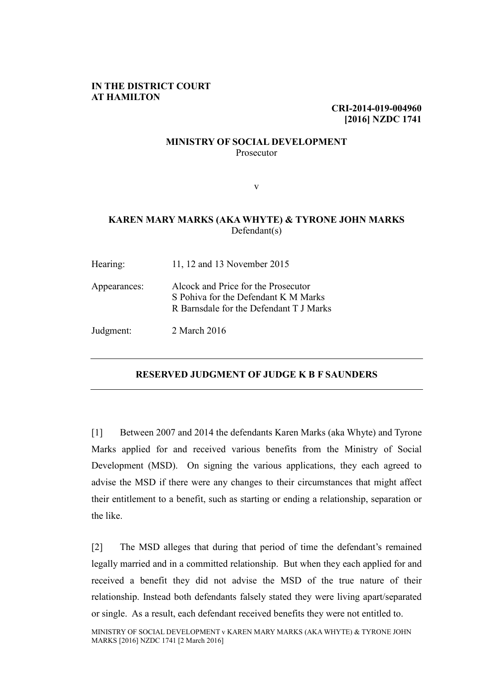### **IN THE DISTRICT COURT AT HAMILTON**

**CRI-2014-019-004960 [2016] NZDC 1741**

#### **MINISTRY OF SOCIAL DEVELOPMENT** Prosecutor

v

### **KAREN MARY MARKS (AKA WHYTE) & TYRONE JOHN MARKS** Defendant(s)

| Hearing:     | 11, 12 and 13 November 2015                                                                                            |
|--------------|------------------------------------------------------------------------------------------------------------------------|
| Appearances: | Alcock and Price for the Prosecutor<br>S Pohiva for the Defendant K M Marks<br>R Barnsdale for the Defendant T J Marks |
| Judgment:    | 2 March 2016                                                                                                           |

### **RESERVED JUDGMENT OF JUDGE K B F SAUNDERS**

[1] Between 2007 and 2014 the defendants Karen Marks (aka Whyte) and Tyrone Marks applied for and received various benefits from the Ministry of Social Development (MSD). On signing the various applications, they each agreed to advise the MSD if there were any changes to their circumstances that might affect their entitlement to a benefit, such as starting or ending a relationship, separation or the like.

[2] The MSD alleges that during that period of time the defendant's remained legally married and in a committed relationship. But when they each applied for and received a benefit they did not advise the MSD of the true nature of their relationship. Instead both defendants falsely stated they were living apart/separated or single. As a result, each defendant received benefits they were not entitled to.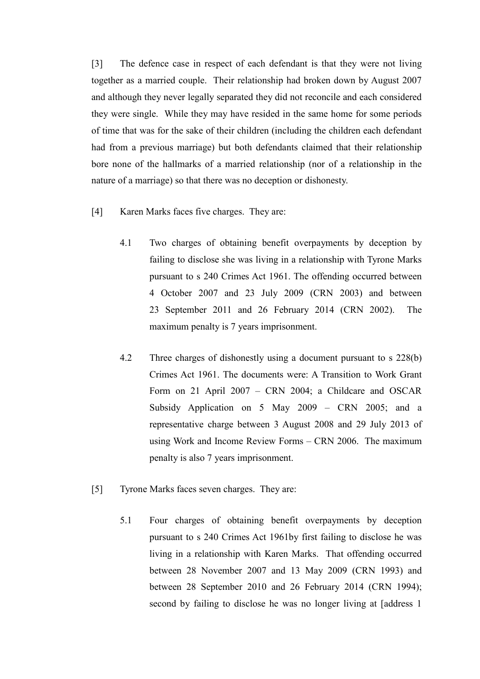[3] The defence case in respect of each defendant is that they were not living together as a married couple. Their relationship had broken down by August 2007 and although they never legally separated they did not reconcile and each considered they were single. While they may have resided in the same home for some periods of time that was for the sake of their children (including the children each defendant had from a previous marriage) but both defendants claimed that their relationship bore none of the hallmarks of a married relationship (nor of a relationship in the nature of a marriage) so that there was no deception or dishonesty.

- [4] Karen Marks faces five charges. They are:
	- 4.1 Two charges of obtaining benefit overpayments by deception by failing to disclose she was living in a relationship with Tyrone Marks pursuant to s 240 Crimes Act 1961. The offending occurred between 4 October 2007 and 23 July 2009 (CRN 2003) and between 23 September 2011 and 26 February 2014 (CRN 2002). The maximum penalty is 7 years imprisonment.
	- 4.2 Three charges of dishonestly using a document pursuant to s 228(b) Crimes Act 1961. The documents were: A Transition to Work Grant Form on 21 April 2007 – CRN 2004; a Childcare and OSCAR Subsidy Application on 5 May 2009 – CRN 2005; and a representative charge between 3 August 2008 and 29 July 2013 of using Work and Income Review Forms – CRN 2006. The maximum penalty is also 7 years imprisonment.
- [5] Tyrone Marks faces seven charges. They are:
	- 5.1 Four charges of obtaining benefit overpayments by deception pursuant to s 240 Crimes Act 1961by first failing to disclose he was living in a relationship with Karen Marks. That offending occurred between 28 November 2007 and 13 May 2009 (CRN 1993) and between 28 September 2010 and 26 February 2014 (CRN 1994); second by failing to disclose he was no longer living at [address 1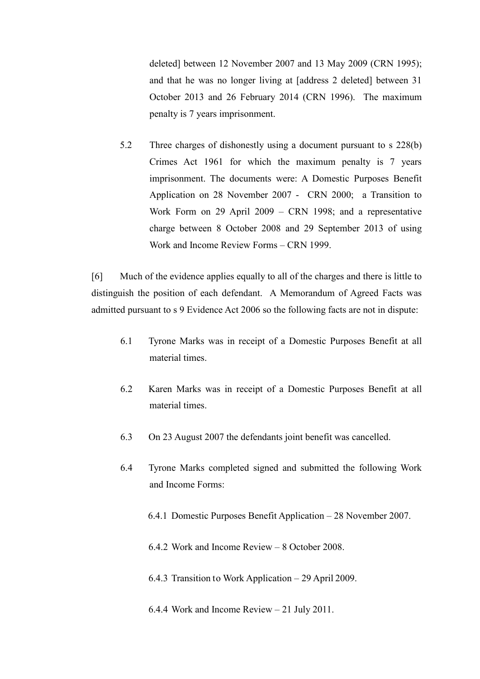deleted] between 12 November 2007 and 13 May 2009 (CRN 1995); and that he was no longer living at [address 2 deleted] between 31 October 2013 and 26 February 2014 (CRN 1996). The maximum penalty is 7 years imprisonment.

5.2 Three charges of dishonestly using a document pursuant to s 228(b) Crimes Act 1961 for which the maximum penalty is 7 years imprisonment. The documents were: A Domestic Purposes Benefit Application on 28 November 2007 - CRN 2000; a Transition to Work Form on 29 April 2009 – CRN 1998; and a representative charge between 8 October 2008 and 29 September 2013 of using Work and Income Review Forms – CRN 1999.

[6] Much of the evidence applies equally to all of the charges and there is little to distinguish the position of each defendant. A Memorandum of Agreed Facts was admitted pursuant to s 9 Evidence Act 2006 so the following facts are not in dispute:

- 6.1 Tyrone Marks was in receipt of a Domestic Purposes Benefit at all material times.
- 6.2 Karen Marks was in receipt of a Domestic Purposes Benefit at all material times.
- 6.3 On 23 August 2007 the defendants joint benefit was cancelled.
- 6.4 Tyrone Marks completed signed and submitted the following Work and Income Forms:
	- 6.4.1 Domestic Purposes Benefit Application 28 November 2007.
	- 6.4.2 Work and Income Review 8 October 2008.
	- 6.4.3 Transition to Work Application 29 April 2009.
	- 6.4.4 Work and Income Review 21 July 2011.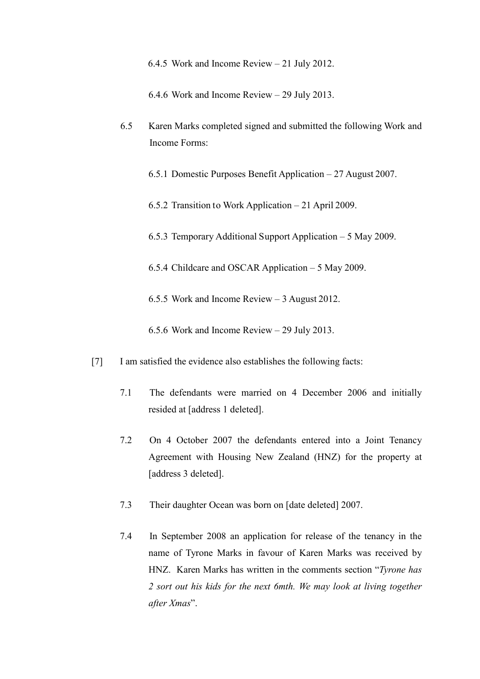6.4.5 Work and Income Review – 21 July 2012.

6.4.6 Work and Income Review – 29 July 2013.

6.5 Karen Marks completed signed and submitted the following Work and Income Forms:

6.5.1 Domestic Purposes Benefit Application – 27 August 2007.

- 6.5.2 Transition to Work Application 21 April 2009.
- 6.5.3 Temporary Additional Support Application 5 May 2009.
- 6.5.4 Childcare and OSCAR Application 5 May 2009.
- 6.5.5 Work and Income Review 3 August 2012.
- 6.5.6 Work and Income Review 29 July 2013.
- [7] I am satisfied the evidence also establishes the following facts:
	- 7.1 The defendants were married on 4 December 2006 and initially resided at [address 1 deleted].
	- 7.2 On 4 October 2007 the defendants entered into a Joint Tenancy Agreement with Housing New Zealand (HNZ) for the property at [address 3 deleted].
	- 7.3 Their daughter Ocean was born on [date deleted] 2007.
	- 7.4 In September 2008 an application for release of the tenancy in the name of Tyrone Marks in favour of Karen Marks was received by HNZ. Karen Marks has written in the comments section "*Tyrone has 2 sort out his kids for the next 6mth. We may look at living together after Xmas*".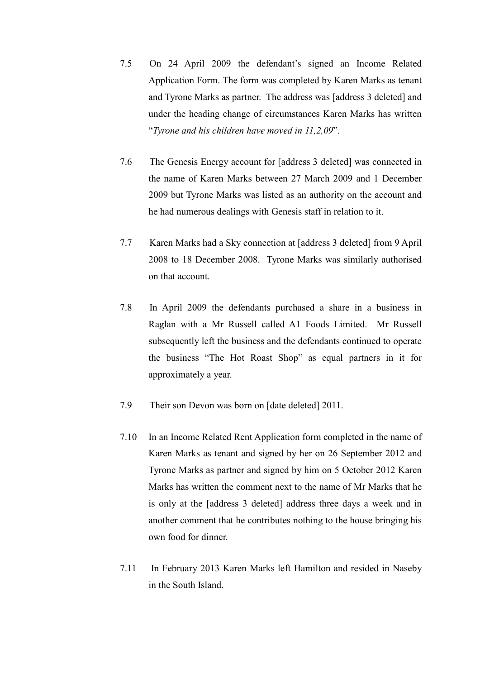- 7.5 On 24 April 2009 the defendant's signed an Income Related Application Form. The form was completed by Karen Marks as tenant and Tyrone Marks as partner. The address was [address 3 deleted] and under the heading change of circumstances Karen Marks has written "*Tyrone and his children have moved in 11,2,09*".
- 7.6 The Genesis Energy account for [address 3 deleted] was connected in the name of Karen Marks between 27 March 2009 and 1 December 2009 but Tyrone Marks was listed as an authority on the account and he had numerous dealings with Genesis staff in relation to it.
- 7.7 Karen Marks had a Sky connection at [address 3 deleted] from 9 April 2008 to 18 December 2008. Tyrone Marks was similarly authorised on that account.
- 7.8 In April 2009 the defendants purchased a share in a business in Raglan with a Mr Russell called A1 Foods Limited. Mr Russell subsequently left the business and the defendants continued to operate the business "The Hot Roast Shop" as equal partners in it for approximately a year.
- 7.9 Their son Devon was born on [date deleted] 2011.
- 7.10 In an Income Related Rent Application form completed in the name of Karen Marks as tenant and signed by her on 26 September 2012 and Tyrone Marks as partner and signed by him on 5 October 2012 Karen Marks has written the comment next to the name of Mr Marks that he is only at the [address 3 deleted] address three days a week and in another comment that he contributes nothing to the house bringing his own food for dinner.
- 7.11 In February 2013 Karen Marks left Hamilton and resided in Naseby in the South Island.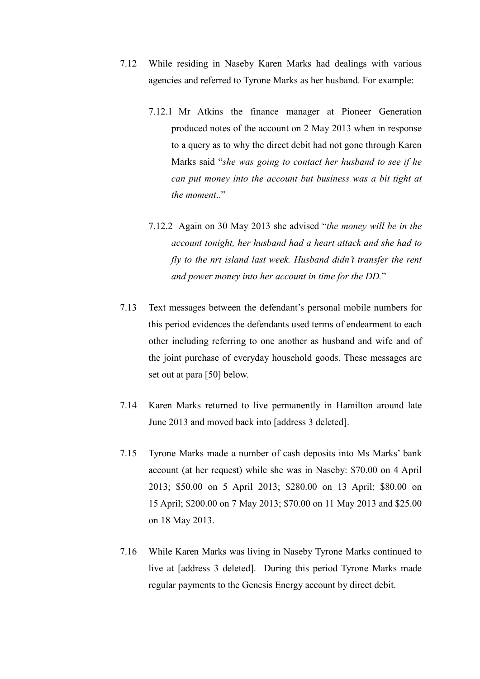- 7.12 While residing in Naseby Karen Marks had dealings with various agencies and referred to Tyrone Marks as her husband. For example:
	- 7.12.1 Mr Atkins the finance manager at Pioneer Generation produced notes of the account on 2 May 2013 when in response to a query as to why the direct debit had not gone through Karen Marks said "*she was going to contact her husband to see if he can put money into the account but business was a bit tight at the moment*.."
	- 7.12.2 Again on 30 May 2013 she advised "*the money will be in the account tonight, her husband had a heart attack and she had to fly to the nrt island last week. Husband didn't transfer the rent and power money into her account in time for the DD.*"
- 7.13 Text messages between the defendant's personal mobile numbers for this period evidences the defendants used terms of endearment to each other including referring to one another as husband and wife and of the joint purchase of everyday household goods. These messages are set out at para [50] below.
- 7.14 Karen Marks returned to live permanently in Hamilton around late June 2013 and moved back into [address 3 deleted].
- 7.15 Tyrone Marks made a number of cash deposits into Ms Marks' bank account (at her request) while she was in Naseby: \$70.00 on 4 April 2013; \$50.00 on 5 April 2013; \$280.00 on 13 April; \$80.00 on 15 April; \$200.00 on 7 May 2013; \$70.00 on 11 May 2013 and \$25.00 on 18 May 2013.
- 7.16 While Karen Marks was living in Naseby Tyrone Marks continued to live at [address 3 deleted]. During this period Tyrone Marks made regular payments to the Genesis Energy account by direct debit.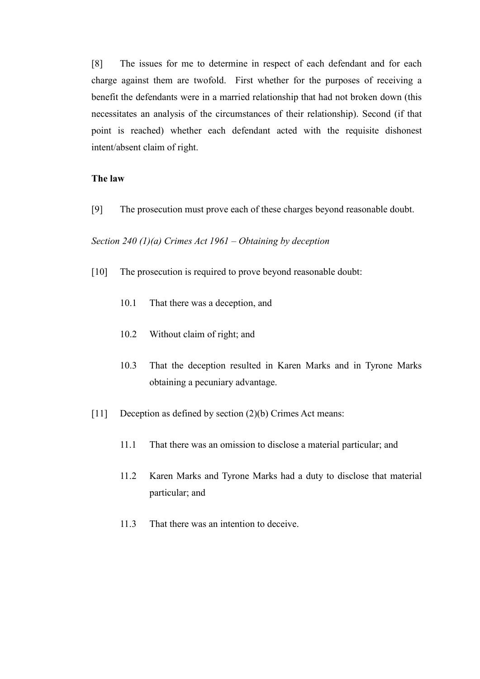[8] The issues for me to determine in respect of each defendant and for each charge against them are twofold. First whether for the purposes of receiving a benefit the defendants were in a married relationship that had not broken down (this necessitates an analysis of the circumstances of their relationship). Second (if that point is reached) whether each defendant acted with the requisite dishonest intent/absent claim of right.

#### **The law**

[9] The prosecution must prove each of these charges beyond reasonable doubt.

#### *Section 240 (1)(a) Crimes Act 1961 – Obtaining by deception*

- [10] The prosecution is required to prove beyond reasonable doubt:
	- 10.1 That there was a deception, and
	- 10.2 Without claim of right; and
	- 10.3 That the deception resulted in Karen Marks and in Tyrone Marks obtaining a pecuniary advantage.
- [11] Deception as defined by section (2)(b) Crimes Act means:
	- 11.1 That there was an omission to disclose a material particular; and
	- 11.2 Karen Marks and Tyrone Marks had a duty to disclose that material particular; and
	- 11.3 That there was an intention to deceive.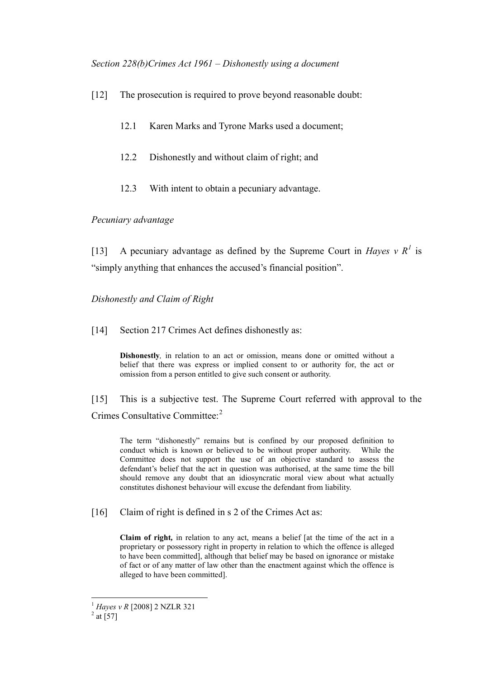*Section 228(b)Crimes Act 1961 – Dishonestly using a document*

- [12] The prosecution is required to prove beyond reasonable doubt:
	- 12.1 Karen Marks and Tyrone Marks used a document;
	- 12.2 Dishonestly and without claim of right; and
	- 12.3 With intent to obtain a pecuniary advantage.

### *Pecuniary advantage*

[[1](#page-8-0)3] A pecuniary advantage as defined by the Supreme Court in *Hayes*  $v R<sup>1</sup>$  is "simply anything that enhances the accused's financial position".

### *Dishonestly and Claim of Right*

[14] Section 217 Crimes Act defines dishonestly as:

**Dishonestly***,* in relation to an act or omission, means done or omitted without a belief that there was express or implied consent to or authority for, the act or omission from a person entitled to give such consent or authority.

[15] This is a subjective test. The Supreme Court referred with approval to the Crimes Consultative Committee:<sup>[2](#page-8-1)</sup>

The term "dishonestly" remains but is confined by our proposed definition to conduct which is known or believed to be without proper authority. While the Committee does not support the use of an objective standard to assess the defendant's belief that the act in question was authorised, at the same time the bill should remove any doubt that an idiosyncratic moral view about what actually constitutes dishonest behaviour will excuse the defendant from liability.

[16] Claim of right is defined in s 2 of the Crimes Act as:

**Claim of right***,* in relation to any act, means a belief [at the time of the act in a proprietary or possessory right in property in relation to which the offence is alleged to have been committed], although that belief may be based on ignorance or mistake of fact or of any matter of law other than the enactment against which the offence is alleged to have been committed].

<sup>&</sup>lt;sup>1</sup> *Hayes v R* [2008] 2 NZLR 321<sup>2</sup> at [57]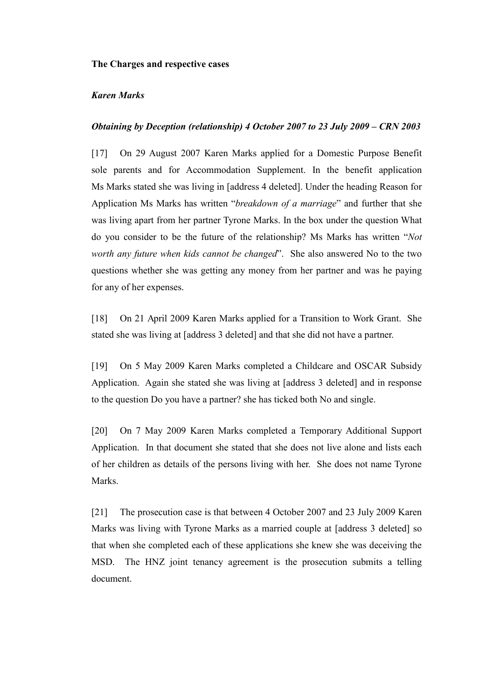#### **The Charges and respective cases**

### *Karen Marks*

#### *Obtaining by Deception (relationship) 4 October 2007 to 23 July 2009 – CRN 2003*

[17] On 29 August 2007 Karen Marks applied for a Domestic Purpose Benefit sole parents and for Accommodation Supplement. In the benefit application Ms Marks stated she was living in [address 4 deleted]. Under the heading Reason for Application Ms Marks has written "*breakdown of a marriage*" and further that she was living apart from her partner Tyrone Marks. In the box under the question What do you consider to be the future of the relationship? Ms Marks has written "*Not worth any future when kids cannot be changed*". She also answered No to the two questions whether she was getting any money from her partner and was he paying for any of her expenses.

[18] On 21 April 2009 Karen Marks applied for a Transition to Work Grant. She stated she was living at [address 3 deleted] and that she did not have a partner.

[19] On 5 May 2009 Karen Marks completed a Childcare and OSCAR Subsidy Application. Again she stated she was living at [address 3 deleted] and in response to the question Do you have a partner? she has ticked both No and single.

[20] On 7 May 2009 Karen Marks completed a Temporary Additional Support Application. In that document she stated that she does not live alone and lists each of her children as details of the persons living with her. She does not name Tyrone Marks.

<span id="page-8-1"></span><span id="page-8-0"></span>[21] The prosecution case is that between 4 October 2007 and 23 July 2009 Karen Marks was living with Tyrone Marks as a married couple at [address 3 deleted] so that when she completed each of these applications she knew she was deceiving the MSD. The HNZ joint tenancy agreement is the prosecution submits a telling document.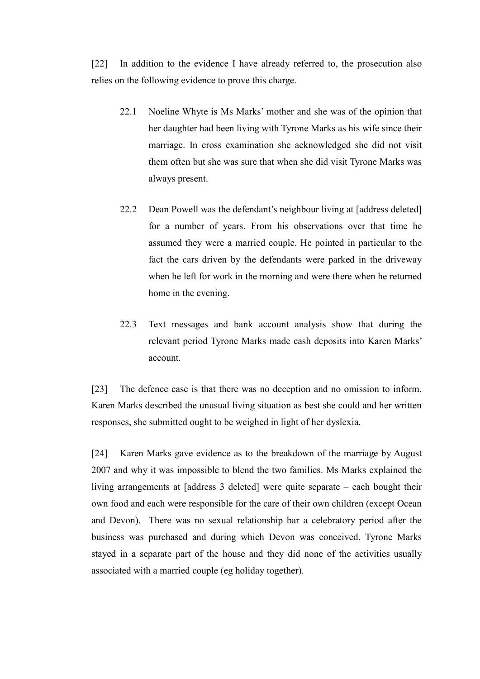[22] In addition to the evidence I have already referred to, the prosecution also relies on the following evidence to prove this charge.

- 22.1 Noeline Whyte is Ms Marks' mother and she was of the opinion that her daughter had been living with Tyrone Marks as his wife since their marriage. In cross examination she acknowledged she did not visit them often but she was sure that when she did visit Tyrone Marks was always present.
- 22.2 Dean Powell was the defendant's neighbour living at [address deleted] for a number of years. From his observations over that time he assumed they were a married couple. He pointed in particular to the fact the cars driven by the defendants were parked in the driveway when he left for work in the morning and were there when he returned home in the evening.
- 22.3 Text messages and bank account analysis show that during the relevant period Tyrone Marks made cash deposits into Karen Marks' account.

[23] The defence case is that there was no deception and no omission to inform. Karen Marks described the unusual living situation as best she could and her written responses, she submitted ought to be weighed in light of her dyslexia.

[24] Karen Marks gave evidence as to the breakdown of the marriage by August 2007 and why it was impossible to blend the two families. Ms Marks explained the living arrangements at [address 3 deleted] were quite separate – each bought their own food and each were responsible for the care of their own children (except Ocean and Devon). There was no sexual relationship bar a celebratory period after the business was purchased and during which Devon was conceived. Tyrone Marks stayed in a separate part of the house and they did none of the activities usually associated with a married couple (eg holiday together).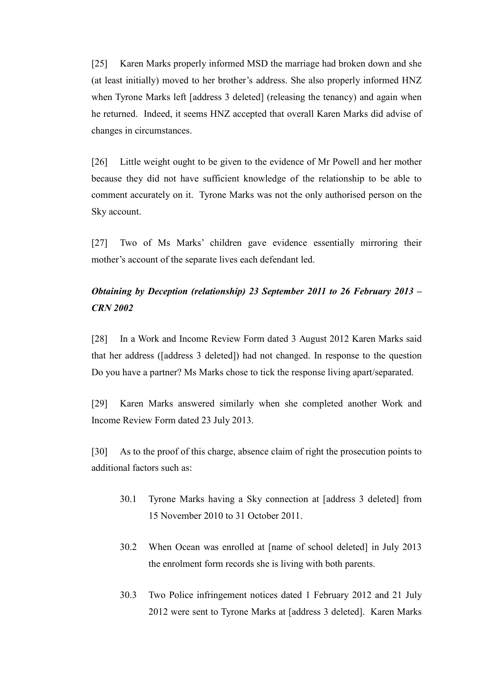[25] Karen Marks properly informed MSD the marriage had broken down and she (at least initially) moved to her brother's address. She also properly informed HNZ when Tyrone Marks left [address 3 deleted] (releasing the tenancy) and again when he returned. Indeed, it seems HNZ accepted that overall Karen Marks did advise of changes in circumstances.

[26] Little weight ought to be given to the evidence of Mr Powell and her mother because they did not have sufficient knowledge of the relationship to be able to comment accurately on it. Tyrone Marks was not the only authorised person on the Sky account.

[27] Two of Ms Marks' children gave evidence essentially mirroring their mother's account of the separate lives each defendant led.

# *Obtaining by Deception (relationship) 23 September 2011 to 26 February 2013 – CRN 2002*

[28] In a Work and Income Review Form dated 3 August 2012 Karen Marks said that her address ([address 3 deleted]) had not changed. In response to the question Do you have a partner? Ms Marks chose to tick the response living apart/separated.

[29] Karen Marks answered similarly when she completed another Work and Income Review Form dated 23 July 2013.

[30] As to the proof of this charge, absence claim of right the prosecution points to additional factors such as:

- 30.1 Tyrone Marks having a Sky connection at [address 3 deleted] from 15 November 2010 to 31 October 2011.
- 30.2 When Ocean was enrolled at [name of school deleted] in July 2013 the enrolment form records she is living with both parents.
- 30.3 Two Police infringement notices dated 1 February 2012 and 21 July 2012 were sent to Tyrone Marks at [address 3 deleted]. Karen Marks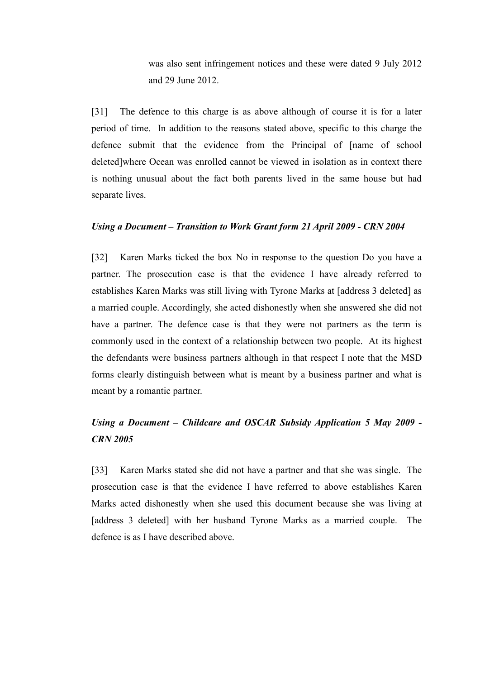was also sent infringement notices and these were dated 9 July 2012 and 29 June 2012.

[31] The defence to this charge is as above although of course it is for a later period of time. In addition to the reasons stated above, specific to this charge the defence submit that the evidence from the Principal of [name of school deleted]where Ocean was enrolled cannot be viewed in isolation as in context there is nothing unusual about the fact both parents lived in the same house but had separate lives.

#### *Using a Document – Transition to Work Grant form 21 April 2009 - CRN 2004*

[32] Karen Marks ticked the box No in response to the question Do you have a partner. The prosecution case is that the evidence I have already referred to establishes Karen Marks was still living with Tyrone Marks at [address 3 deleted] as a married couple. Accordingly, she acted dishonestly when she answered she did not have a partner. The defence case is that they were not partners as the term is commonly used in the context of a relationship between two people. At its highest the defendants were business partners although in that respect I note that the MSD forms clearly distinguish between what is meant by a business partner and what is meant by a romantic partner.

# *Using a Document – Childcare and OSCAR Subsidy Application 5 May 2009 - CRN 2005*

[33] Karen Marks stated she did not have a partner and that she was single. The prosecution case is that the evidence I have referred to above establishes Karen Marks acted dishonestly when she used this document because she was living at [address 3 deleted] with her husband Tyrone Marks as a married couple. The defence is as I have described above.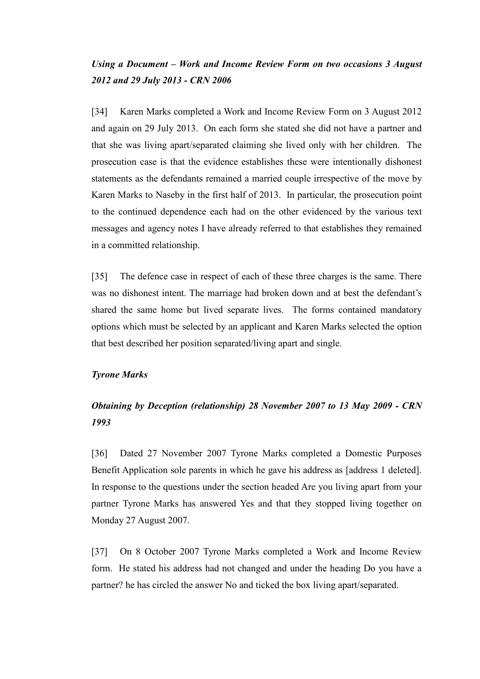## *Using a Document – Work and Income Review Form on two occasions 3 August 2012 and 29 July 2013 - CRN 2006*

[34] Karen Marks completed a Work and Income Review Form on 3 August 2012 and again on 29 July 2013. On each form she stated she did not have a partner and that she was living apart/separated claiming she lived only with her children. The prosecution case is that the evidence establishes these were intentionally dishonest statements as the defendants remained a married couple irrespective of the move by Karen Marks to Naseby in the first half of 2013. In particular, the prosecution point to the continued dependence each had on the other evidenced by the various text messages and agency notes I have already referred to that establishes they remained in a committed relationship.

[35] The defence case in respect of each of these three charges is the same. There was no dishonest intent. The marriage had broken down and at best the defendant's shared the same home but lived separate lives. The forms contained mandatory options which must be selected by an applicant and Karen Marks selected the option that best described her position separated/living apart and single.

### *Tyrone Marks*

# *Obtaining by Deception (relationship) 28 November 2007 to 13 May 2009 - CRN 1993*

[36] Dated 27 November 2007 Tyrone Marks completed a Domestic Purposes Benefit Application sole parents in which he gave his address as [address 1 deleted]. In response to the questions under the section headed Are you living apart from your partner Tyrone Marks has answered Yes and that they stopped living together on Monday 27 August 2007.

[37] On 8 October 2007 Tyrone Marks completed a Work and Income Review form. He stated his address had not changed and under the heading Do you have a partner? he has circled the answer No and ticked the box living apart/separated.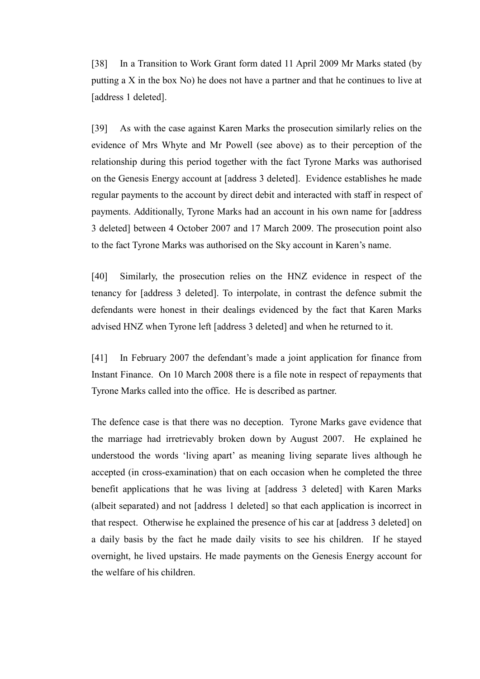[38] In a Transition to Work Grant form dated 11 April 2009 Mr Marks stated (by putting a X in the box No) he does not have a partner and that he continues to live at [address 1 deleted].

[39] As with the case against Karen Marks the prosecution similarly relies on the evidence of Mrs Whyte and Mr Powell (see above) as to their perception of the relationship during this period together with the fact Tyrone Marks was authorised on the Genesis Energy account at [address 3 deleted]. Evidence establishes he made regular payments to the account by direct debit and interacted with staff in respect of payments. Additionally, Tyrone Marks had an account in his own name for [address 3 deleted] between 4 October 2007 and 17 March 2009. The prosecution point also to the fact Tyrone Marks was authorised on the Sky account in Karen's name.

[40] Similarly, the prosecution relies on the HNZ evidence in respect of the tenancy for [address 3 deleted]. To interpolate, in contrast the defence submit the defendants were honest in their dealings evidenced by the fact that Karen Marks advised HNZ when Tyrone left [address 3 deleted] and when he returned to it.

[41] In February 2007 the defendant's made a joint application for finance from Instant Finance. On 10 March 2008 there is a file note in respect of repayments that Tyrone Marks called into the office. He is described as partner.

The defence case is that there was no deception. Tyrone Marks gave evidence that the marriage had irretrievably broken down by August 2007. He explained he understood the words 'living apart' as meaning living separate lives although he accepted (in cross-examination) that on each occasion when he completed the three benefit applications that he was living at [address 3 deleted] with Karen Marks (albeit separated) and not [address 1 deleted] so that each application is incorrect in that respect. Otherwise he explained the presence of his car at [address 3 deleted] on a daily basis by the fact he made daily visits to see his children. If he stayed overnight, he lived upstairs. He made payments on the Genesis Energy account for the welfare of his children.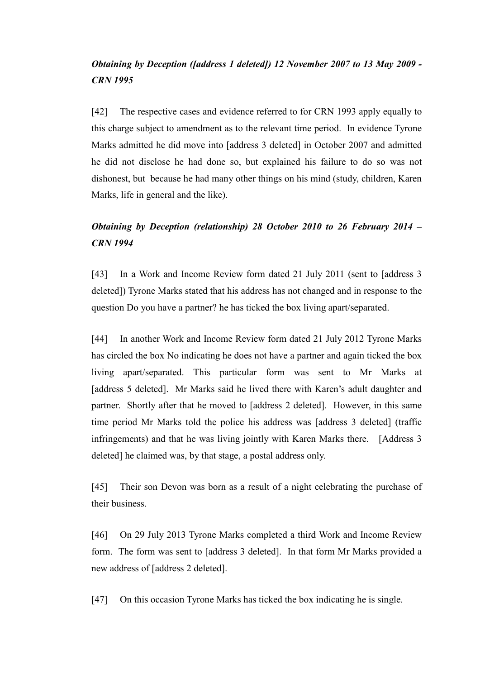# *Obtaining by Deception ([address 1 deleted]) 12 November 2007 to 13 May 2009 - CRN 1995*

[42] The respective cases and evidence referred to for CRN 1993 apply equally to this charge subject to amendment as to the relevant time period. In evidence Tyrone Marks admitted he did move into [address 3 deleted] in October 2007 and admitted he did not disclose he had done so, but explained his failure to do so was not dishonest, but because he had many other things on his mind (study, children, Karen Marks, life in general and the like).

# *Obtaining by Deception (relationship) 28 October 2010 to 26 February 2014 – CRN 1994*

[43] In a Work and Income Review form dated 21 July 2011 (sent to [address 3 deleted]) Tyrone Marks stated that his address has not changed and in response to the question Do you have a partner? he has ticked the box living apart/separated.

[44] In another Work and Income Review form dated 21 July 2012 Tyrone Marks has circled the box No indicating he does not have a partner and again ticked the box living apart/separated. This particular form was sent to Mr Marks at [address 5 deleted]. Mr Marks said he lived there with Karen's adult daughter and partner. Shortly after that he moved to [address 2 deleted]. However, in this same time period Mr Marks told the police his address was [address 3 deleted] (traffic infringements) and that he was living jointly with Karen Marks there. [Address 3 deleted] he claimed was, by that stage, a postal address only.

[45] Their son Devon was born as a result of a night celebrating the purchase of their business.

[46] On 29 July 2013 Tyrone Marks completed a third Work and Income Review form. The form was sent to [address 3 deleted]. In that form Mr Marks provided a new address of [address 2 deleted].

[47] On this occasion Tyrone Marks has ticked the box indicating he is single.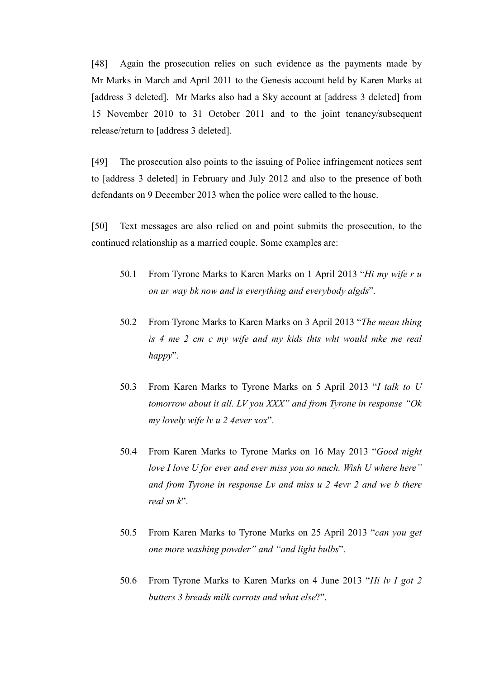[48] Again the prosecution relies on such evidence as the payments made by Mr Marks in March and April 2011 to the Genesis account held by Karen Marks at [address 3 deleted]. Mr Marks also had a Sky account at [address 3 deleted] from 15 November 2010 to 31 October 2011 and to the joint tenancy/subsequent release/return to [address 3 deleted].

[49] The prosecution also points to the issuing of Police infringement notices sent to [address 3 deleted] in February and July 2012 and also to the presence of both defendants on 9 December 2013 when the police were called to the house.

[50] Text messages are also relied on and point submits the prosecution, to the continued relationship as a married couple. Some examples are:

- 50.1 From Tyrone Marks to Karen Marks on 1 April 2013 "*Hi my wife r u on ur way bk now and is everything and everybody algds*".
- 50.2 From Tyrone Marks to Karen Marks on 3 April 2013 "*The mean thing is 4 me 2 cm c my wife and my kids thts wht would mke me real happy*".
- 50.3 From Karen Marks to Tyrone Marks on 5 April 2013 "*I talk to U tomorrow about it all. LV you XXX" and from Tyrone in response "Ok my lovely wife lv u 2 4ever xox*".
- 50.4 From Karen Marks to Tyrone Marks on 16 May 2013 "*Good night love I love U for ever and ever miss you so much. Wish U where here" and from Tyrone in response Lv and miss u 2 4evr 2 and we b there real sn k*".
- 50.5 From Karen Marks to Tyrone Marks on 25 April 2013 "*can you get one more washing powder" and "and light bulbs*".
- 50.6 From Tyrone Marks to Karen Marks on 4 June 2013 "*Hi lv I got 2 butters 3 breads milk carrots and what else*?".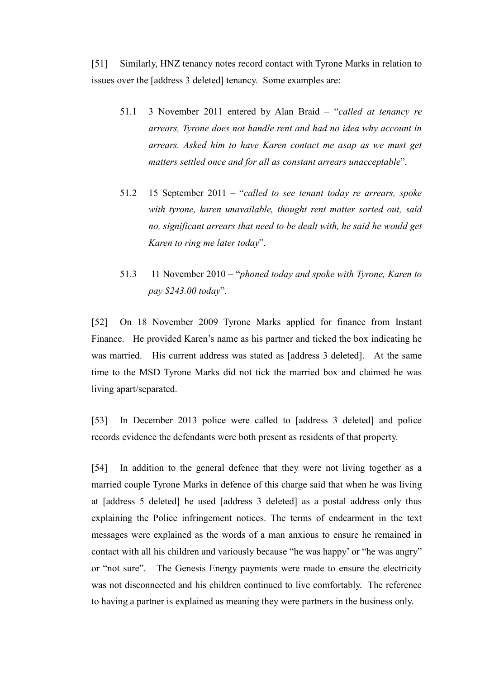[51] Similarly, HNZ tenancy notes record contact with Tyrone Marks in relation to issues over the [address 3 deleted] tenancy. Some examples are:

- 51.1 3 November 2011 entered by Alan Braid "*called at tenancy re arrears, Tyrone does not handle rent and had no idea why account in arrears. Asked him to have Karen contact me asap as we must get matters settled once and for all as constant arrears unacceptable*".
- 51.2 15 September 2011 "*called to see tenant today re arrears, spoke with tyrone, karen unavailable, thought rent matter sorted out, said no, significant arrears that need to be dealt with, he said he would get Karen to ring me later today*".
- 51.3 11 November 2010 "*phoned today and spoke with Tyrone, Karen to pay \$243.00 today*".

[52] On 18 November 2009 Tyrone Marks applied for finance from Instant Finance. He provided Karen's name as his partner and ticked the box indicating he was married. His current address was stated as [address 3 deleted]. At the same time to the MSD Tyrone Marks did not tick the married box and claimed he was living apart/separated.

[53] In December 2013 police were called to [address 3 deleted] and police records evidence the defendants were both present as residents of that property.

[54] In addition to the general defence that they were not living together as a married couple Tyrone Marks in defence of this charge said that when he was living at [address 5 deleted] he used [address 3 deleted] as a postal address only thus explaining the Police infringement notices. The terms of endearment in the text messages were explained as the words of a man anxious to ensure he remained in contact with all his children and variously because "he was happy' or "he was angry" or "not sure". The Genesis Energy payments were made to ensure the electricity was not disconnected and his children continued to live comfortably. The reference to having a partner is explained as meaning they were partners in the business only.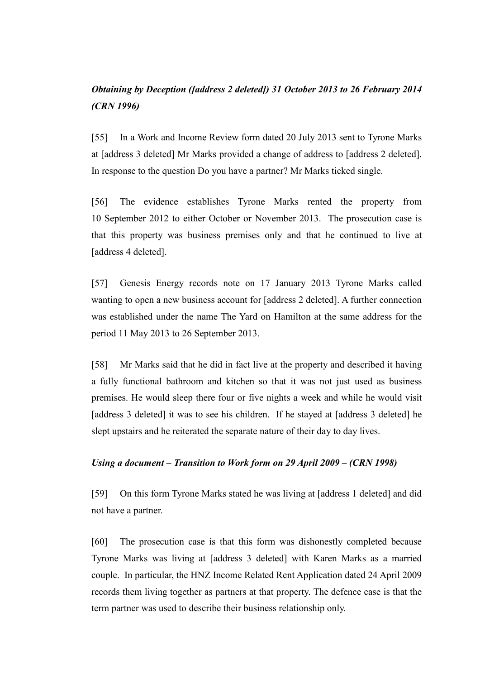# *Obtaining by Deception ([address 2 deleted]) 31 October 2013 to 26 February 2014 (CRN 1996)*

[55] In a Work and Income Review form dated 20 July 2013 sent to Tyrone Marks at [address 3 deleted] Mr Marks provided a change of address to [address 2 deleted]. In response to the question Do you have a partner? Mr Marks ticked single.

[56] The evidence establishes Tyrone Marks rented the property from 10 September 2012 to either October or November 2013. The prosecution case is that this property was business premises only and that he continued to live at [address 4 deleted].

[57] Genesis Energy records note on 17 January 2013 Tyrone Marks called wanting to open a new business account for [address 2 deleted]. A further connection was established under the name The Yard on Hamilton at the same address for the period 11 May 2013 to 26 September 2013.

[58] Mr Marks said that he did in fact live at the property and described it having a fully functional bathroom and kitchen so that it was not just used as business premises. He would sleep there four or five nights a week and while he would visit [address 3 deleted] it was to see his children. If he stayed at [address 3 deleted] he slept upstairs and he reiterated the separate nature of their day to day lives.

### *Using a document – Transition to Work form on 29 April 2009 – (CRN 1998)*

[59] On this form Tyrone Marks stated he was living at [address 1 deleted] and did not have a partner.

[60] The prosecution case is that this form was dishonestly completed because Tyrone Marks was living at [address 3 deleted] with Karen Marks as a married couple. In particular, the HNZ Income Related Rent Application dated 24 April 2009 records them living together as partners at that property. The defence case is that the term partner was used to describe their business relationship only.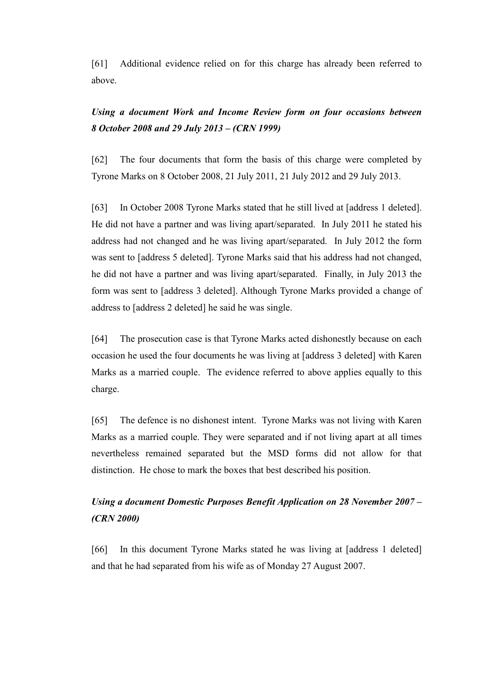[61] Additional evidence relied on for this charge has already been referred to above.

# *Using a document Work and Income Review form on four occasions between 8 October 2008 and 29 July 2013 – (CRN 1999)*

[62] The four documents that form the basis of this charge were completed by Tyrone Marks on 8 October 2008, 21 July 2011, 21 July 2012 and 29 July 2013.

[63] In October 2008 Tyrone Marks stated that he still lived at [address 1 deleted]. He did not have a partner and was living apart/separated. In July 2011 he stated his address had not changed and he was living apart/separated. In July 2012 the form was sent to [address 5 deleted]. Tyrone Marks said that his address had not changed, he did not have a partner and was living apart/separated. Finally, in July 2013 the form was sent to [address 3 deleted]. Although Tyrone Marks provided a change of address to [address 2 deleted] he said he was single.

[64] The prosecution case is that Tyrone Marks acted dishonestly because on each occasion he used the four documents he was living at [address 3 deleted] with Karen Marks as a married couple. The evidence referred to above applies equally to this charge.

[65] The defence is no dishonest intent. Tyrone Marks was not living with Karen Marks as a married couple. They were separated and if not living apart at all times nevertheless remained separated but the MSD forms did not allow for that distinction. He chose to mark the boxes that best described his position.

# *Using a document Domestic Purposes Benefit Application on 28 November 2007 – (CRN 2000)*

[66] In this document Tyrone Marks stated he was living at [address 1 deleted] and that he had separated from his wife as of Monday 27 August 2007.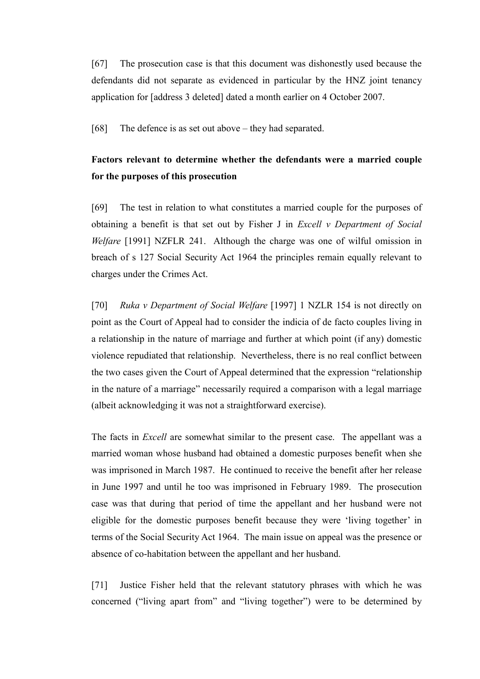[67] The prosecution case is that this document was dishonestly used because the defendants did not separate as evidenced in particular by the HNZ joint tenancy application for [address 3 deleted] dated a month earlier on 4 October 2007.

[68] The defence is as set out above – they had separated.

# **Factors relevant to determine whether the defendants were a married couple for the purposes of this prosecution**

[69] The test in relation to what constitutes a married couple for the purposes of obtaining a benefit is that set out by Fisher J in *Excell v Department of Social Welfare* [1991] NZFLR 241. Although the charge was one of wilful omission in breach of s 127 Social Security Act 1964 the principles remain equally relevant to charges under the Crimes Act.

[70] *Ruka v Department of Social Welfare* [1997] 1 NZLR 154 is not directly on point as the Court of Appeal had to consider the indicia of de facto couples living in a relationship in the nature of marriage and further at which point (if any) domestic violence repudiated that relationship. Nevertheless, there is no real conflict between the two cases given the Court of Appeal determined that the expression "relationship in the nature of a marriage" necessarily required a comparison with a legal marriage (albeit acknowledging it was not a straightforward exercise).

The facts in *Excell* are somewhat similar to the present case. The appellant was a married woman whose husband had obtained a domestic purposes benefit when she was imprisoned in March 1987. He continued to receive the benefit after her release in June 1997 and until he too was imprisoned in February 1989. The prosecution case was that during that period of time the appellant and her husband were not eligible for the domestic purposes benefit because they were 'living together' in terms of the Social Security Act 1964. The main issue on appeal was the presence or absence of co-habitation between the appellant and her husband.

[71] Justice Fisher held that the relevant statutory phrases with which he was concerned ("living apart from" and "living together") were to be determined by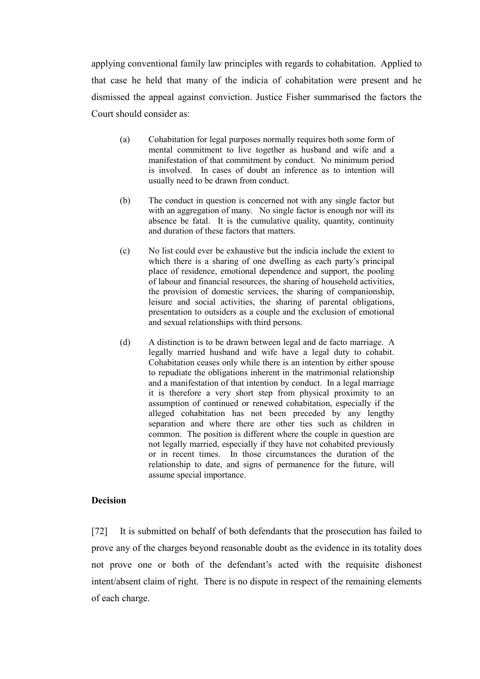applying conventional family law principles with regards to cohabitation. Applied to that case he held that many of the indicia of cohabitation were present and he dismissed the appeal against conviction. Justice Fisher summarised the factors the Court should consider as:

- (a) Cohabitation for legal purposes normally requires both some form of mental commitment to live together as husband and wife and a manifestation of that commitment by conduct. No minimum period is involved. In cases of doubt an inference as to intention will usually need to be drawn from conduct.
- (b) The conduct in question is concerned not with any single factor but with an aggregation of many. No single factor is enough nor will its absence be fatal. It is the cumulative quality, quantity, continuity and duration of these factors that matters.
- (c) No list could ever be exhaustive but the indicia include the extent to which there is a sharing of one dwelling as each party's principal place of residence, emotional dependence and support, the pooling of labour and financial resources, the sharing of household activities, the provision of domestic services, the sharing of companionship, leisure and social activities, the sharing of parental obligations, presentation to outsiders as a couple and the exclusion of emotional and sexual relationships with third persons.
- (d) A distinction is to be drawn between legal and de facto marriage. A legally married husband and wife have a legal duty to cohabit. Cohabitation ceases only while there is an intention by either spouse to repudiate the obligations inherent in the matrimonial relationship and a manifestation of that intention by conduct. In a legal marriage it is therefore a very short step from physical proximity to an assumption of continued or renewed cohabitation, especially if the alleged cohabitation has not been preceded by any lengthy separation and where there are other ties such as children in common. The position is different where the couple in question are not legally married, especially if they have not cohabited previously or in recent times. In those circumstances the duration of the relationship to date, and signs of permanence for the future, will assume special importance.

### **Decision**

[72] It is submitted on behalf of both defendants that the prosecution has failed to prove any of the charges beyond reasonable doubt as the evidence in its totality does not prove one or both of the defendant's acted with the requisite dishonest intent/absent claim of right. There is no dispute in respect of the remaining elements of each charge.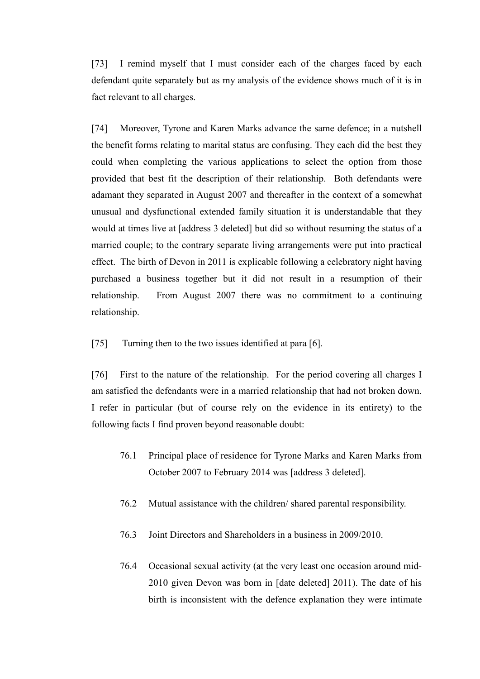[73] I remind myself that I must consider each of the charges faced by each defendant quite separately but as my analysis of the evidence shows much of it is in fact relevant to all charges.

[74] Moreover, Tyrone and Karen Marks advance the same defence; in a nutshell the benefit forms relating to marital status are confusing. They each did the best they could when completing the various applications to select the option from those provided that best fit the description of their relationship. Both defendants were adamant they separated in August 2007 and thereafter in the context of a somewhat unusual and dysfunctional extended family situation it is understandable that they would at times live at [address 3 deleted] but did so without resuming the status of a married couple; to the contrary separate living arrangements were put into practical effect. The birth of Devon in 2011 is explicable following a celebratory night having purchased a business together but it did not result in a resumption of their relationship. From August 2007 there was no commitment to a continuing relationship.

[75] Turning then to the two issues identified at para [6].

[76] First to the nature of the relationship. For the period covering all charges I am satisfied the defendants were in a married relationship that had not broken down. I refer in particular (but of course rely on the evidence in its entirety) to the following facts I find proven beyond reasonable doubt:

- 76.1 Principal place of residence for Tyrone Marks and Karen Marks from October 2007 to February 2014 was [address 3 deleted].
- 76.2 Mutual assistance with the children/ shared parental responsibility.
- 76.3 Joint Directors and Shareholders in a business in 2009/2010.
- 76.4 Occasional sexual activity (at the very least one occasion around mid-2010 given Devon was born in [date deleted] 2011). The date of his birth is inconsistent with the defence explanation they were intimate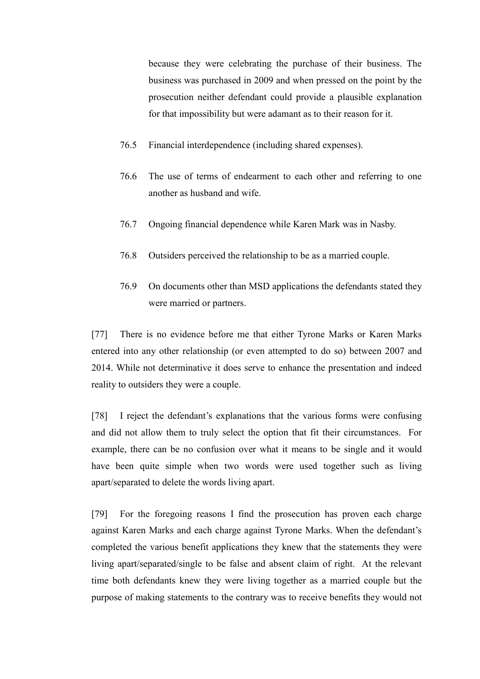because they were celebrating the purchase of their business. The business was purchased in 2009 and when pressed on the point by the prosecution neither defendant could provide a plausible explanation for that impossibility but were adamant as to their reason for it.

- 76.5 Financial interdependence (including shared expenses).
- 76.6 The use of terms of endearment to each other and referring to one another as husband and wife.
- 76.7 Ongoing financial dependence while Karen Mark was in Nasby.
- 76.8 Outsiders perceived the relationship to be as a married couple.
- 76.9 On documents other than MSD applications the defendants stated they were married or partners.

[77] There is no evidence before me that either Tyrone Marks or Karen Marks entered into any other relationship (or even attempted to do so) between 2007 and 2014. While not determinative it does serve to enhance the presentation and indeed reality to outsiders they were a couple.

[78] I reject the defendant's explanations that the various forms were confusing and did not allow them to truly select the option that fit their circumstances. For example, there can be no confusion over what it means to be single and it would have been quite simple when two words were used together such as living apart/separated to delete the words living apart.

[79] For the foregoing reasons I find the prosecution has proven each charge against Karen Marks and each charge against Tyrone Marks. When the defendant's completed the various benefit applications they knew that the statements they were living apart/separated/single to be false and absent claim of right. At the relevant time both defendants knew they were living together as a married couple but the purpose of making statements to the contrary was to receive benefits they would not